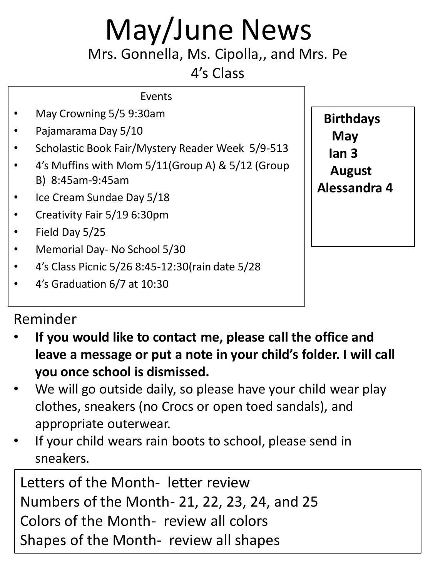## May/June News

Mrs. Gonnella, Ms. Cipolla,, and Mrs. Pe

4's Class

| $\bullet$ | May Crowning 5/5 9:30am |
|-----------|-------------------------|
|           |                         |

- Pajamarama Day 5/10
- Scholastic Book Fair/Mystery Reader Week 5/9-513

Events

- 4's Muffins with Mom 5/11(Group A) & 5/12 (Group B) 8:45am-9:45am
- Ice Cream Sundae Day 5/18
- Creativity Fair 5/19 6:30pm
- Field Day 5/25
- Memorial Day- No School 5/30
- 4's Class Picnic 5/26 8:45-12:30(rain date 5/28
- 4's Graduation 6/7 at 10:30

## Reminder

- **If you would like to contact me, please call the office and leave a message or put a note in your child's folder. I will call you once school is dismissed.**
- We will go outside daily, so please have your child wear play clothes, sneakers (no Crocs or open toed sandals), and appropriate outerwear.
- If your child wears rain boots to school, please send in sneakers.

Letters of the Month- letter review Numbers of the Month- 21, 22, 23, 24, and 25 Colors of the Month- review all colors Shapes of the Month- review all shapes

**Birthdays May Ian 3 August Alessandra 4**